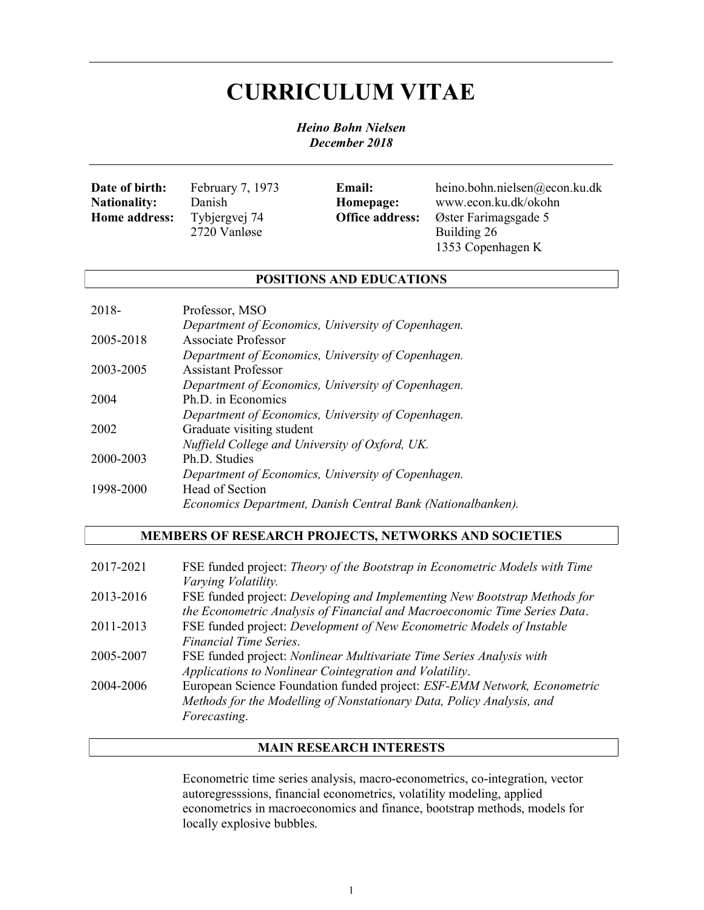# CURRICULUM VITAE

Heino Bohn Nielsen December 2018

| Date of birth:       | February 7, 1973 | <b>Email:</b>          | heino.bohn.nielsen@econ.ku.dk |
|----------------------|------------------|------------------------|-------------------------------|
| <b>Nationality:</b>  | Danish           | Homepage:              | www.econ.ku.dk/okohn          |
| <b>Home address:</b> | Tybjergvej 74    | <b>Office address:</b> | Øster Farimagsgade 5          |
|                      | 2720 Vanløse     |                        | Building 26                   |
|                      |                  |                        | 1353 Copenhagen K             |

## POSITIONS AND EDUCATIONS

| 2018-     | Professor, MSO                                              |
|-----------|-------------------------------------------------------------|
|           | Department of Economics, University of Copenhagen.          |
| 2005-2018 | Associate Professor                                         |
|           | Department of Economics, University of Copenhagen.          |
| 2003-2005 | <b>Assistant Professor</b>                                  |
|           | Department of Economics, University of Copenhagen.          |
| 2004      | Ph.D. in Economics                                          |
|           | Department of Economics, University of Copenhagen.          |
| 2002      | Graduate visiting student                                   |
|           | Nuffield College and University of Oxford, UK.              |
| 2000-2003 | Ph.D. Studies                                               |
|           | Department of Economics, University of Copenhagen.          |
| 1998-2000 | Head of Section                                             |
|           | Economics Department, Danish Central Bank (Nationalbanken). |

# MEMBERS OF RESEARCH PROJECTS, NETWORKS AND SOCIETIES

| 2017-2021 | FSE funded project: Theory of the Bootstrap in Econometric Models with Time<br>Varying Volatility.                                                                |
|-----------|-------------------------------------------------------------------------------------------------------------------------------------------------------------------|
| 2013-2016 | FSE funded project: Developing and Implementing New Bootstrap Methods for<br>the Econometric Analysis of Financial and Macroeconomic Time Series Data.            |
| 2011-2013 | FSE funded project: Development of New Econometric Models of Instable<br>Financial Time Series.                                                                   |
| 2005-2007 | FSE funded project: Nonlinear Multivariate Time Series Analysis with<br>Applications to Nonlinear Cointegration and Volatility.                                   |
| 2004-2006 | European Science Foundation funded project: ESF-EMM Network, Econometric<br>Methods for the Modelling of Nonstationary Data, Policy Analysis, and<br>Forecasting. |

## MAIN RESEARCH INTERESTS

Econometric time series analysis, macro-econometrics, co-integration, vector autoregresssions, financial econometrics, volatility modeling, applied econometrics in macroeconomics and finance, bootstrap methods, models for locally explosive bubbles.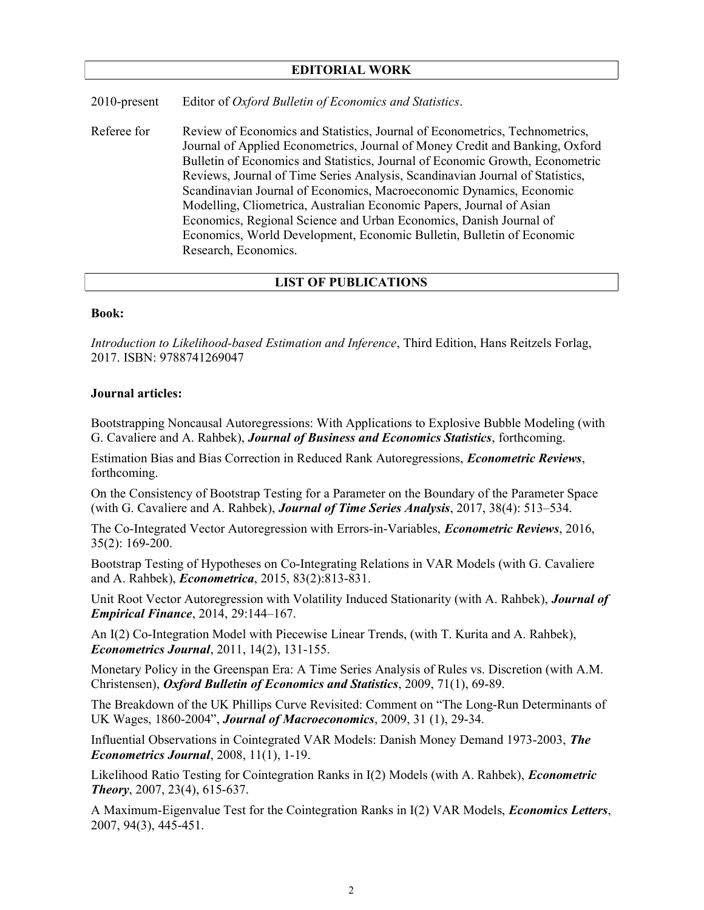### EDITORIAL WORK

2010-present Editor of Oxford Bulletin of Economics and Statistics.

Referee for Review of Economics and Statistics, Journal of Econometrics, Technometrics, Journal of Applied Econometrics, Journal of Money Credit and Banking, Oxford Bulletin of Economics and Statistics, Journal of Economic Growth, Econometric Reviews, Journal of Time Series Analysis, Scandinavian Journal of Statistics, Scandinavian Journal of Economics, Macroeconomic Dynamics, Economic Modelling, Cliometrica, Australian Economic Papers, Journal of Asian Economics, Regional Science and Urban Economics, Danish Journal of Economics, World Development, Economic Bulletin, Bulletin of Economic Research, Economics.

## LIST OF PUBLICATIONS

#### Book:

Introduction to Likelihood-based Estimation and Inference, Third Edition, Hans Reitzels Forlag, 2017. ISBN: 9788741269047

#### Journal articles:

Bootstrapping Noncausal Autoregressions: With Applications to Explosive Bubble Modeling (with G. Cavaliere and A. Rahbek), Journal of Business and Economics Statistics, forthcoming.

Estimation Bias and Bias Correction in Reduced Rank Autoregressions, *Econometric Reviews*, forthcoming.

On the Consistency of Bootstrap Testing for a Parameter on the Boundary of the Parameter Space (with G. Cavaliere and A. Rahbek), **Journal of Time Series Analysis**,  $2017$ ,  $38(4)$ :  $513-534$ .

The Co-Integrated Vector Autoregression with Errors-in-Variables, *Econometric Reviews*, 2016, 35(2): 169-200.

Bootstrap Testing of Hypotheses on Co-Integrating Relations in VAR Models (with G. Cavaliere and A. Rahbek), Econometrica, 2015, 83(2):813-831.

Unit Root Vector Autoregression with Volatility Induced Stationarity (with A. Rahbek), **Journal of** Empirical Finance, 2014, 29:144–167.

An I(2) Co-Integration Model with Piecewise Linear Trends, (with T. Kurita and A. Rahbek), Econometrics Journal, 2011, 14(2), 131-155.

Monetary Policy in the Greenspan Era: A Time Series Analysis of Rules vs. Discretion (with A.M. Christensen), Oxford Bulletin of Economics and Statistics, 2009, 71(1), 69-89.

The Breakdown of the UK Phillips Curve Revisited: Comment on "The Long-Run Determinants of UK Wages, 1860-2004", Journal of Macroeconomics, 2009, 31 (1), 29-34.

Influential Observations in Cointegrated VAR Models: Danish Money Demand 1973-2003, The Econometrics Journal, 2008, 11(1), 1-19.

Likelihood Ratio Testing for Cointegration Ranks in I(2) Models (with A. Rahbek), *Econometric* Theory, 2007, 23(4), 615-637.

A Maximum-Eigenvalue Test for the Cointegration Ranks in I(2) VAR Models, *Economics Letters*, 2007, 94(3), 445-451.